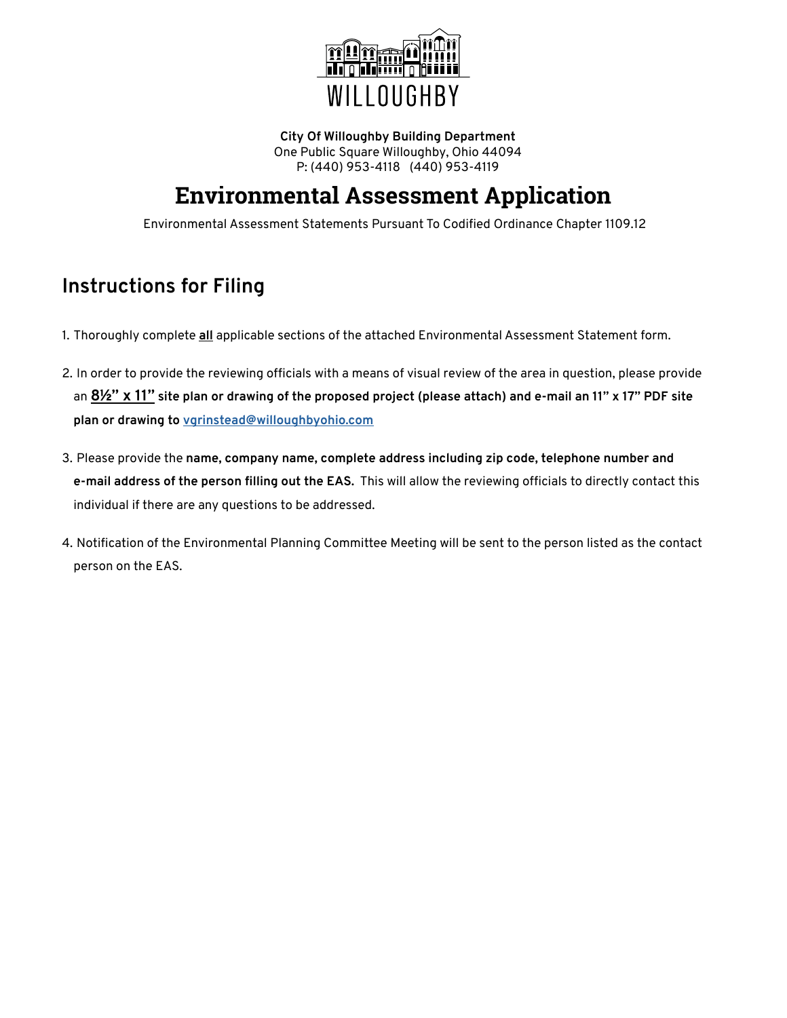

**City Of Willoughby Building Department** One Public Square Willoughby, Ohio 44094 P: (440) 953-4118 (440) 953-4119

# **Environmental Assessment Application**

Environmental Assessment Statements Pursuant To Codified Ordinance Chapter 1109.12

### **Instructions for Filing**

- 1. Thoroughly complete **all** applicable sections of the attached Environmental Assessment Statement form.
- 2. In order to provide the reviewing officials with a means of visual review of the area in question, please provide an **8½" x 11" site plan or drawing of the proposed project (please attach) and e-mail an 11" x 17" PDF site plan or drawing to [vgrinstead@willoughbyohio.com](mailto:vgrinstead@willoughbyohio.com)**
- 3. Please provide the **name, company name, complete address including zip code, telephone number and e-mail address of the person filling out the EAS.** This will allow the reviewing officials to directly contact this individual if there are any questions to be addressed.
- 4. Notification of the Environmental Planning Committee Meeting will be sent to the person listed as the contact person on the EAS.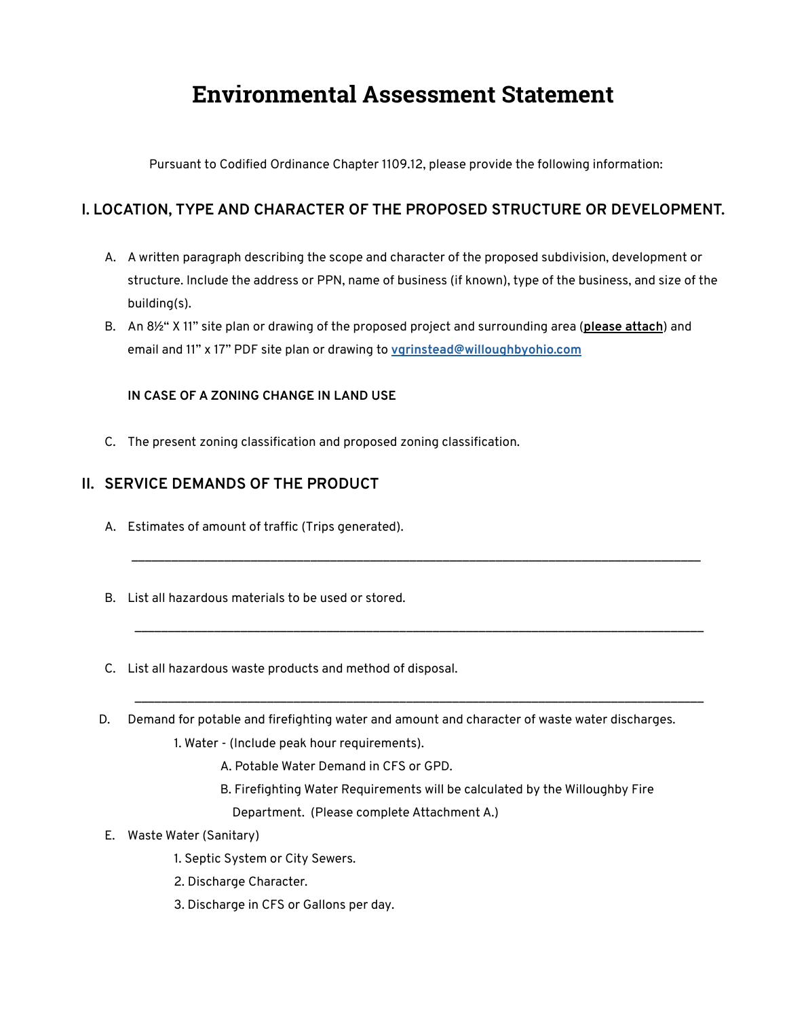# **Environmental Assessment Statement**

Pursuant to Codified Ordinance Chapter 1109.12, please provide the following information:

### **I. LOCATION, TYPE AND CHARACTER OF THE PROPOSED STRUCTURE OR DEVELOPMENT.**

A. A written paragraph describing the scope and character of the proposed subdivision, development or structure. Include the address or PPN, name of business (if known), type of the business, and size of the building(s).

\_\_\_\_\_\_\_\_\_\_\_\_\_\_\_\_\_\_\_\_\_\_\_\_\_\_\_\_\_\_\_\_\_\_\_\_\_\_\_\_\_\_\_\_\_\_\_\_\_\_\_\_\_\_\_\_\_\_\_\_\_\_\_\_\_\_\_\_\_\_\_\_\_\_\_\_\_\_\_\_\_\_\_\_\_\_

\_\_\_\_\_\_\_\_\_\_\_\_\_\_\_\_\_\_\_\_\_\_\_\_\_\_\_\_\_\_\_\_\_\_\_\_\_\_\_\_\_\_\_\_\_\_\_\_\_\_\_\_\_\_\_\_\_\_\_\_\_\_\_\_\_\_\_\_\_\_\_\_\_\_\_\_\_\_\_\_\_\_\_\_\_\_

\_\_\_\_\_\_\_\_\_\_\_\_\_\_\_\_\_\_\_\_\_\_\_\_\_\_\_\_\_\_\_\_\_\_\_\_\_\_\_\_\_\_\_\_\_\_\_\_\_\_\_\_\_\_\_\_\_\_\_\_\_\_\_\_\_\_\_\_\_\_\_\_\_\_\_\_\_\_\_\_\_\_\_\_\_\_

B. An 8½" X 11" site plan or drawing of the proposed project and surrounding area (**please attach**) and email and 11" x 17" PDF site plan or drawing to **[vgrinstead@willoughbyohio.com](mailto:vgrinstead@willoughbyohio.com)**

#### **IN CASE OF A ZONING CHANGE IN LAND USE**

C. The present zoning classification and proposed zoning classification.

### **II. SERVICE DEMANDS OF THE PRODUCT**

- A. Estimates of amount of traffic (Trips generated).
- B. List all hazardous materials to be used or stored.
- C. List all hazardous waste products and method of disposal.
- D. Demand for potable and firefighting water and amount and character of waste water discharges.
	- 1. Water (Include peak hour requirements).
		- A. Potable Water Demand in CFS or GPD.
		- B. Firefighting Water Requirements will be calculated by the Willoughby Fire
			- Department. (Please complete Attachment A.)
- E. Waste Water (Sanitary)
	- 1. Septic System or City Sewers.
	- 2. Discharge Character.
	- 3. Discharge in CFS or Gallons per day.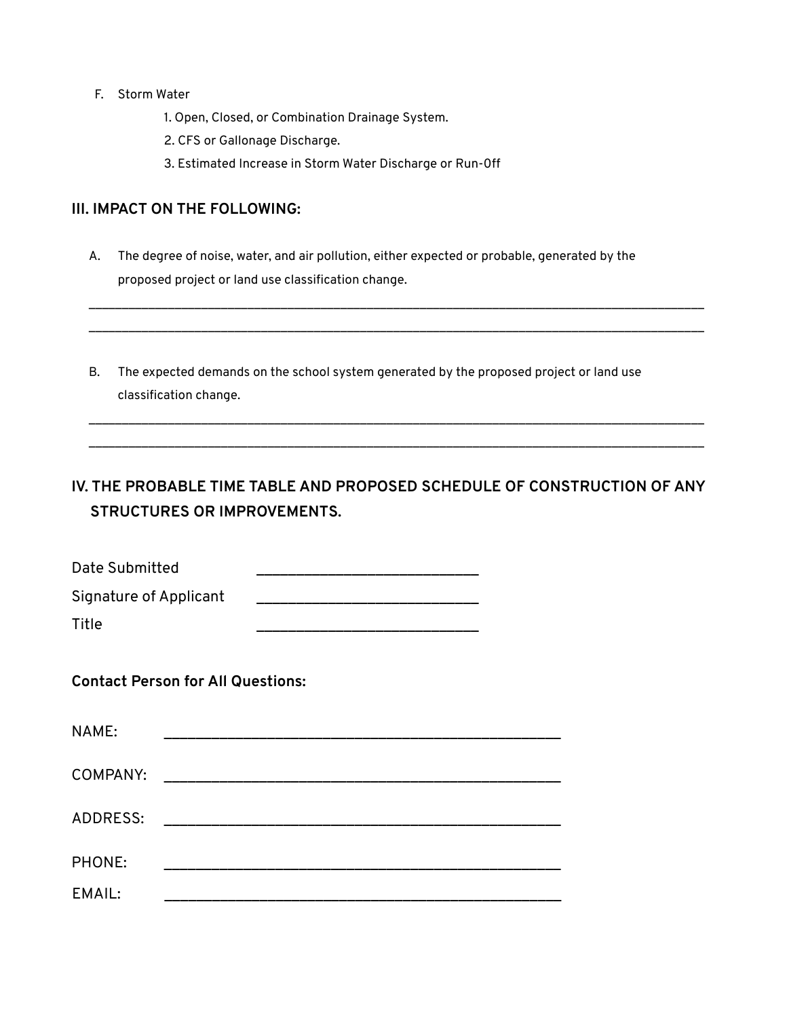- F. Storm Water
	- 1. Open, Closed, or Combination Drainage System.
	- 2. CFS or Gallonage Discharge.
	- 3. Estimated Increase in Storm Water Discharge or Run-0ff

#### **III. IMPACT ON THE FOLLOWING:**

A. The degree of noise, water, and air pollution, either expected or probable, generated by the proposed project or land use classification change.

\_\_\_\_\_\_\_\_\_\_\_\_\_\_\_\_\_\_\_\_\_\_\_\_\_\_\_\_\_\_\_\_\_\_\_\_\_\_\_\_\_\_\_\_\_\_\_\_\_\_\_\_\_\_\_\_\_\_\_\_\_\_\_\_\_\_\_\_\_\_\_\_\_\_\_\_\_\_\_\_\_\_\_\_\_\_\_\_\_\_\_\_\_ \_\_\_\_\_\_\_\_\_\_\_\_\_\_\_\_\_\_\_\_\_\_\_\_\_\_\_\_\_\_\_\_\_\_\_\_\_\_\_\_\_\_\_\_\_\_\_\_\_\_\_\_\_\_\_\_\_\_\_\_\_\_\_\_\_\_\_\_\_\_\_\_\_\_\_\_\_\_\_\_\_\_\_\_\_\_\_\_\_\_\_\_\_

\_\_\_\_\_\_\_\_\_\_\_\_\_\_\_\_\_\_\_\_\_\_\_\_\_\_\_\_\_\_\_\_\_\_\_\_\_\_\_\_\_\_\_\_\_\_\_\_\_\_\_\_\_\_\_\_\_\_\_\_\_\_\_\_\_\_\_\_\_\_\_\_\_\_\_\_\_\_\_\_\_\_\_\_\_\_\_\_\_\_\_\_\_ \_\_\_\_\_\_\_\_\_\_\_\_\_\_\_\_\_\_\_\_\_\_\_\_\_\_\_\_\_\_\_\_\_\_\_\_\_\_\_\_\_\_\_\_\_\_\_\_\_\_\_\_\_\_\_\_\_\_\_\_\_\_\_\_\_\_\_\_\_\_\_\_\_\_\_\_\_\_\_\_\_\_\_\_\_\_\_\_\_\_\_\_\_

B. The expected demands on the school system generated by the proposed project or land use classification change.

### **IV. THE PROBABLE TIME TABLE AND PROPOSED SCHEDULE OF CONSTRUCTION OF ANY STRUCTURES OR IMPROVEMENTS.**

| Date Submitted         |  |
|------------------------|--|
| Signature of Applicant |  |

Title \_\_\_\_\_\_\_\_\_\_\_\_\_\_\_\_\_\_\_\_\_\_\_\_\_\_\_\_

**Contact Person for All Questions:**

| NAME:    |  |
|----------|--|
| COMPANY: |  |
| ADDRESS: |  |
| PHONE:   |  |
| EMAIL:   |  |